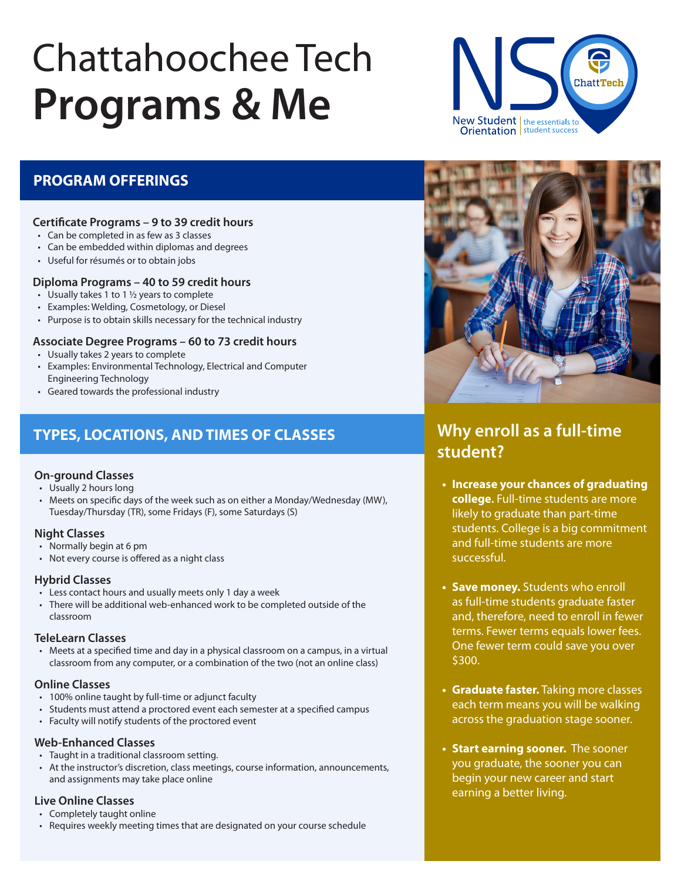# Chattahoochee Tech **Programs & Me**



### **PROGRAM OFFERINGS**

## **Certificate Programs – 9 to 39 credit hours**

- Can be completed in as few as 3 classes
- Can be embedded within diplomas and degrees
- Useful for résumés or to obtain jobs

#### **Diploma Programs – 40 to 59 credit hours**

- Usually takes 1 to 1 ½ years to complete
- Examples: Welding, Cosmetology, or Diesel
- Purpose is to obtain skills necessary for the technical industry

#### **Associate Degree Programs – 60 to 73 credit hours**

- Usually takes 2 years to complete
- Examples: Environmental Technology, Electrical and Computer Engineering Technology
- Geared towards the professional industry

## **TYPES, LOCATIONS, AND TIMES OF CLASSES**

#### **On-ground Classes**

- Usually 2 hours long
- Meets on specific days of the week such as on either a Monday/Wednesday (MW), Tuesday/Thursday (TR), some Fridays (F), some Saturdays (S)

#### **Night Classes**

- Normally begin at 6 pm
- Not every course is offered as a night class

#### **Hybrid Classes**

- Less contact hours and usually meets only 1 day a week
- There will be additional web-enhanced work to be completed outside of the classroom

#### **TeleLearn Classes**

• Meets at a specified time and day in a physical classroom on a campus, in a virtual classroom from any computer, or a combination of the two (not an online class)

#### **Online Classes**

- 100% online taught by full-time or adjunct faculty
- Students must attend a proctored event each semester at a specified campus
- Faculty will notify students of the proctored event

#### **Web-Enhanced Classes**

- Taught in a traditional classroom setting.
- At the instructor's discretion, class meetings, course information, announcements, and assignments may take place online

#### **Live Online Classes**

- Completely taught online
- Requires weekly meeting times that are designated on your course schedule



# **Why enroll as a full-time student?**

- **• Increase your chances of graduating college.** Full-time students are more likely to graduate than part-time students. College is a big commitment and full-time students are more successful.
- **• Save money.** Students who enroll as full-time students graduate faster and, therefore, need to enroll in fewer terms. Fewer terms equals lower fees. One fewer term could save you over \$300.
- **• Graduate faster.** Taking more classes each term means you will be walking across the graduation stage sooner.
- **• Start earning sooner.** The sooner you graduate, the sooner you can begin your new career and start earning a better living.